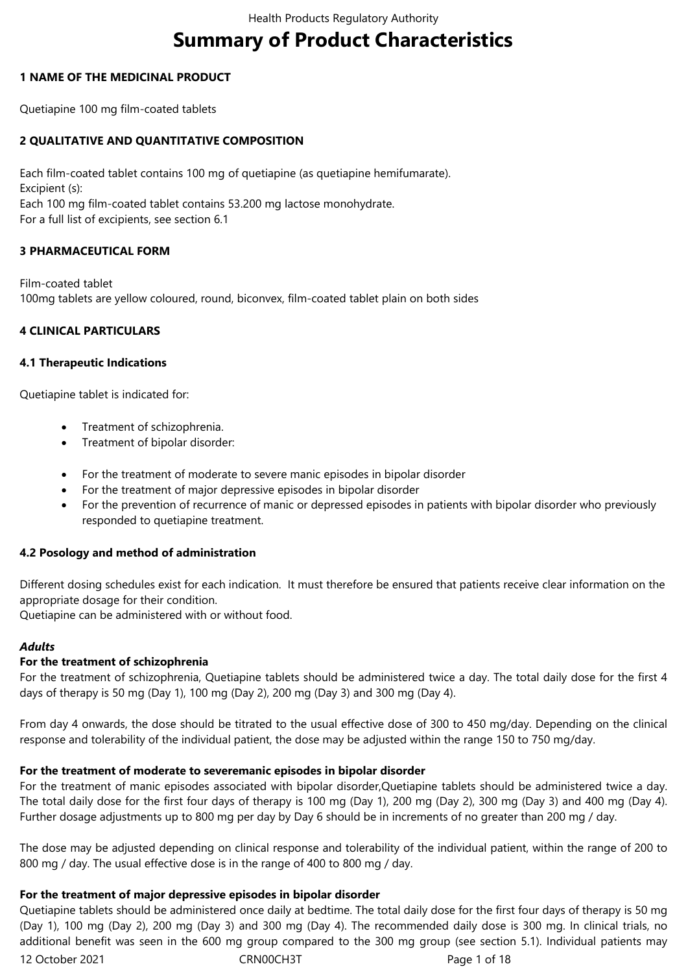# **Summary of Product Characteristics**

## **1 NAME OF THE MEDICINAL PRODUCT**

Quetiapine 100 mg film-coated tablets

# **2 QUALITATIVE AND QUANTITATIVE COMPOSITION**

Each film-coated tablet contains 100 mg of quetiapine (as quetiapine hemifumarate). Excipient (s): Each 100 mg film-coated tablet contains 53.200 mg lactose monohydrate. For a full list of excipients, see section 6.1

# **3 PHARMACEUTICAL FORM**

Film-coated tablet 100mg tablets are yellow coloured, round, biconvex, film-coated tablet plain on both sides

# **4 CLINICAL PARTICULARS**

#### **4.1 Therapeutic Indications**

Quetiapine tablet is indicated for:

- Treatment of schizophrenia.
- Treatment of bipolar disorder:
- For the treatment of moderate to severe manic episodes in bipolar disorder
- For the treatment of major depressive episodes in bipolar disorder
- For the prevention of recurrence of manic or depressed episodes in patients with bipolar disorder who previously responded to quetiapine treatment.

#### **4.2 Posology and method of administration**

Different dosing schedules exist for each indication. It must therefore be ensured that patients receive clear information on the appropriate dosage for their condition.

Quetiapine can be administered with or without food.

#### *Adults*

#### **For the treatment of schizophrenia**

For the treatment of schizophrenia, Quetiapine tablets should be administered twice a day. The total daily dose for the first 4 days of therapy is 50 mg (Day 1), 100 mg (Day 2), 200 mg (Day 3) and 300 mg (Day 4).

From day 4 onwards, the dose should be titrated to the usual effective dose of 300 to 450 mg/day. Depending on the clinical response and tolerability of the individual patient, the dose may be adjusted within the range 150 to 750 mg/day.

#### **For the treatment of moderate to severemanic episodes in bipolar disorder**

For the treatment of manic episodes associated with bipolar disorder,Quetiapine tablets should be administered twice a day. The total daily dose for the first four days of therapy is 100 mg (Day 1), 200 mg (Day 2), 300 mg (Day 3) and 400 mg (Day 4). Further dosage adjustments up to 800 mg per day by Day 6 should be in increments of no greater than 200 mg / day.

The dose may be adjusted depending on clinical response and tolerability of the individual patient, within the range of 200 to 800 mg / day. The usual effective dose is in the range of 400 to 800 mg / day.

#### **For the treatment of major depressive episodes in bipolar disorder**

12 October 2021 CRN00CH3T Page 1 of 18 Quetiapine tablets should be administered once daily at bedtime. The total daily dose for the first four days of therapy is 50 mg (Day 1), 100 mg (Day 2), 200 mg (Day 3) and 300 mg (Day 4). The recommended daily dose is 300 mg. In clinical trials, no additional benefit was seen in the 600 mg group compared to the 300 mg group (see section 5.1). Individual patients may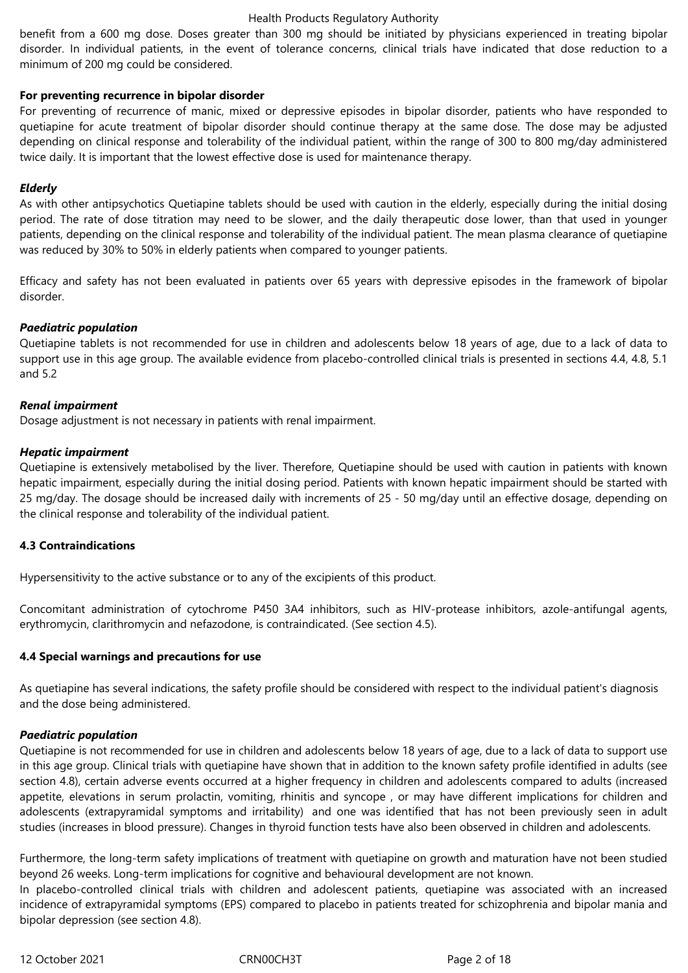benefit from a 600 mg dose. Doses greater than 300 mg should be initiated by physicians experienced in treating bipolar disorder. In individual patients, in the event of tolerance concerns, clinical trials have indicated that dose reduction to a minimum of 200 mg could be considered.

## **For preventing recurrence in bipolar disorder**

For preventing of recurrence of manic, mixed or depressive episodes in bipolar disorder, patients who have responded to quetiapine for acute treatment of bipolar disorder should continue therapy at the same dose. The dose may be adjusted depending on clinical response and tolerability of the individual patient, within the range of 300 to 800 mg/day administered twice daily. It is important that the lowest effective dose is used for maintenance therapy.

# *Elderly*

As with other antipsychotics Quetiapine tablets should be used with caution in the elderly, especially during the initial dosing period. The rate of dose titration may need to be slower, and the daily therapeutic dose lower, than that used in younger patients, depending on the clinical response and tolerability of the individual patient. The mean plasma clearance of quetiapine was reduced by 30% to 50% in elderly patients when compared to younger patients.

Efficacy and safety has not been evaluated in patients over 65 years with depressive episodes in the framework of bipolar disorder.

# *Paediatric population*

Quetiapine tablets is not recommended for use in children and adolescents below 18 years of age, due to a lack of data to support use in this age group. The available evidence from placebo-controlled clinical trials is presented in sections 4.4, 4.8, 5.1 and 5.2

#### *Renal impairment*

Dosage adjustment is not necessary in patients with renal impairment.

# *Hepatic impairment*

Quetiapine is extensively metabolised by the liver. Therefore, Quetiapine should be used with caution in patients with known hepatic impairment, especially during the initial dosing period. Patients with known hepatic impairment should be started with 25 mg/day. The dosage should be increased daily with increments of 25 - 50 mg/day until an effective dosage, depending on the clinical response and tolerability of the individual patient.

# **4.3 Contraindications**

Hypersensitivity to the active substance or to any of the excipients of this product.

Concomitant administration of cytochrome P450 3A4 inhibitors, such as HIV-protease inhibitors, azole-antifungal agents, erythromycin, clarithromycin and nefazodone, is contraindicated. (See section 4.5).

#### **4.4 Special warnings and precautions for use**

As quetiapine has several indications, the safety profile should be considered with respect to the individual patient's diagnosis and the dose being administered.

#### *Paediatric population*

Quetiapine is not recommended for use in children and adolescents below 18 years of age, due to a lack of data to support use in this age group. Clinical trials with quetiapine have shown that in addition to the known safety profile identified in adults (see section 4.8), certain adverse events occurred at a higher frequency in children and adolescents compared to adults (increased appetite, elevations in serum prolactin, vomiting, rhinitis and syncope , or may have different implications for children and adolescents (extrapyramidal symptoms and irritability) and one was identified that has not been previously seen in adult studies (increases in blood pressure). Changes in thyroid function tests have also been observed in children and adolescents.

Furthermore, the long-term safety implications of treatment with quetiapine on growth and maturation have not been studied beyond 26 weeks. Long-term implications for cognitive and behavioural development are not known.

In placebo-controlled clinical trials with children and adolescent patients, quetiapine was associated with an increased incidence of extrapyramidal symptoms (EPS) compared to placebo in patients treated for schizophrenia and bipolar mania and bipolar depression (see section 4.8).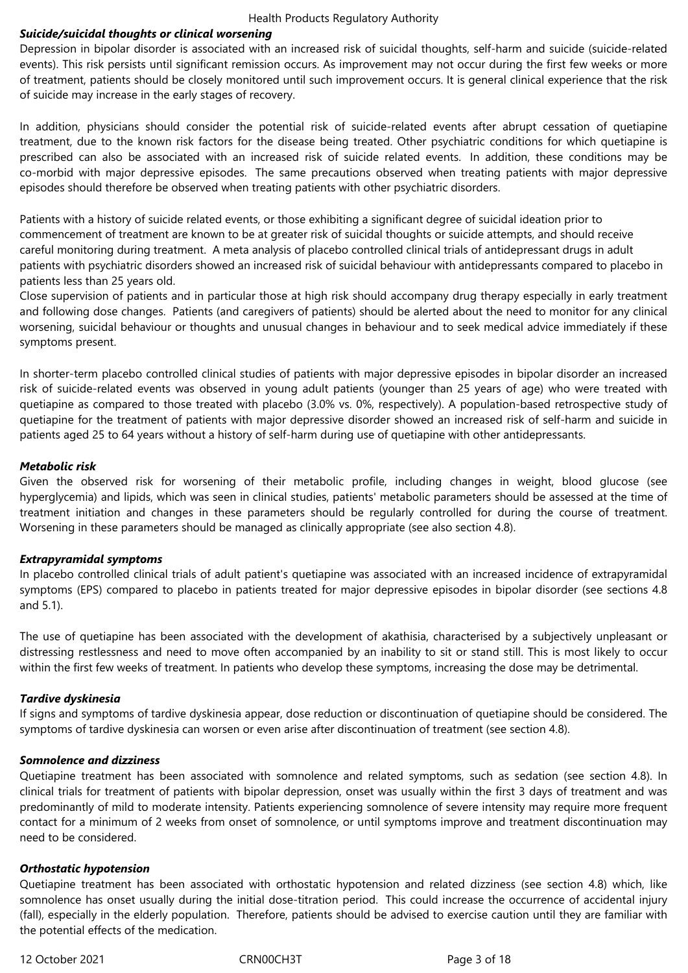## *Suicide/suicidal thoughts or clinical worsening*

Depression in bipolar disorder is associated with an increased risk of suicidal thoughts, self-harm and suicide (suicide-related events). This risk persists until significant remission occurs. As improvement may not occur during the first few weeks or more of treatment, patients should be closely monitored until such improvement occurs. It is general clinical experience that the risk of suicide may increase in the early stages of recovery.

In addition, physicians should consider the potential risk of suicide-related events after abrupt cessation of quetiapine treatment, due to the known risk factors for the disease being treated. Other psychiatric conditions for which quetiapine is prescribed can also be associated with an increased risk of suicide related events. In addition, these conditions may be co-morbid with major depressive episodes. The same precautions observed when treating patients with major depressive episodes should therefore be observed when treating patients with other psychiatric disorders.

Patients with a history of suicide related events, or those exhibiting a significant degree of suicidal ideation prior to commencement of treatment are known to be at greater risk of suicidal thoughts or suicide attempts, and should receive careful monitoring during treatment. A meta analysis of placebo controlled clinical trials of antidepressant drugs in adult patients with psychiatric disorders showed an increased risk of suicidal behaviour with antidepressants compared to placebo in patients less than 25 years old.

Close supervision of patients and in particular those at high risk should accompany drug therapy especially in early treatment and following dose changes. Patients (and caregivers of patients) should be alerted about the need to monitor for any clinical worsening, suicidal behaviour or thoughts and unusual changes in behaviour and to seek medical advice immediately if these symptoms present.

In shorter-term placebo controlled clinical studies of patients with major depressive episodes in bipolar disorder an increased risk of suicide-related events was observed in young adult patients (younger than 25 years of age) who were treated with quetiapine as compared to those treated with placebo (3.0% vs. 0%, respectively). A population-based retrospective study of quetiapine for the treatment of patients with major depressive disorder showed an increased risk of self-harm and suicide in patients aged 25 to 64 years without a history of self-harm during use of quetiapine with other antidepressants.

# *Metabolic risk*

Given the observed risk for worsening of their metabolic profile, including changes in weight, blood glucose (see hyperglycemia) and lipids, which was seen in clinical studies, patients' metabolic parameters should be assessed at the time of treatment initiation and changes in these parameters should be regularly controlled for during the course of treatment. Worsening in these parameters should be managed as clinically appropriate (see also section 4.8).

# *Extrapyramidal symptoms*

In placebo controlled clinical trials of adult patient's quetiapine was associated with an increased incidence of extrapyramidal symptoms (EPS) compared to placebo in patients treated for major depressive episodes in bipolar disorder (see sections 4.8 and 5.1).

The use of quetiapine has been associated with the development of akathisia, characterised by a subjectively unpleasant or distressing restlessness and need to move often accompanied by an inability to sit or stand still. This is most likely to occur within the first few weeks of treatment. In patients who develop these symptoms, increasing the dose may be detrimental.

# *Tardive dyskinesia*

If signs and symptoms of tardive dyskinesia appear, dose reduction or discontinuation of quetiapine should be considered. The symptoms of tardive dyskinesia can worsen or even arise after discontinuation of treatment (see section 4.8).

#### *Somnolence and dizziness*

Quetiapine treatment has been associated with somnolence and related symptoms, such as sedation (see section 4.8). In clinical trials for treatment of patients with bipolar depression, onset was usually within the first 3 days of treatment and was predominantly of mild to moderate intensity. Patients experiencing somnolence of severe intensity may require more frequent contact for a minimum of 2 weeks from onset of somnolence, or until symptoms improve and treatment discontinuation may need to be considered.

#### *Orthostatic hypotension*

Quetiapine treatment has been associated with orthostatic hypotension and related dizziness (see section 4.8) which, like somnolence has onset usually during the initial dose-titration period. This could increase the occurrence of accidental injury (fall), especially in the elderly population. Therefore, patients should be advised to exercise caution until they are familiar with the potential effects of the medication.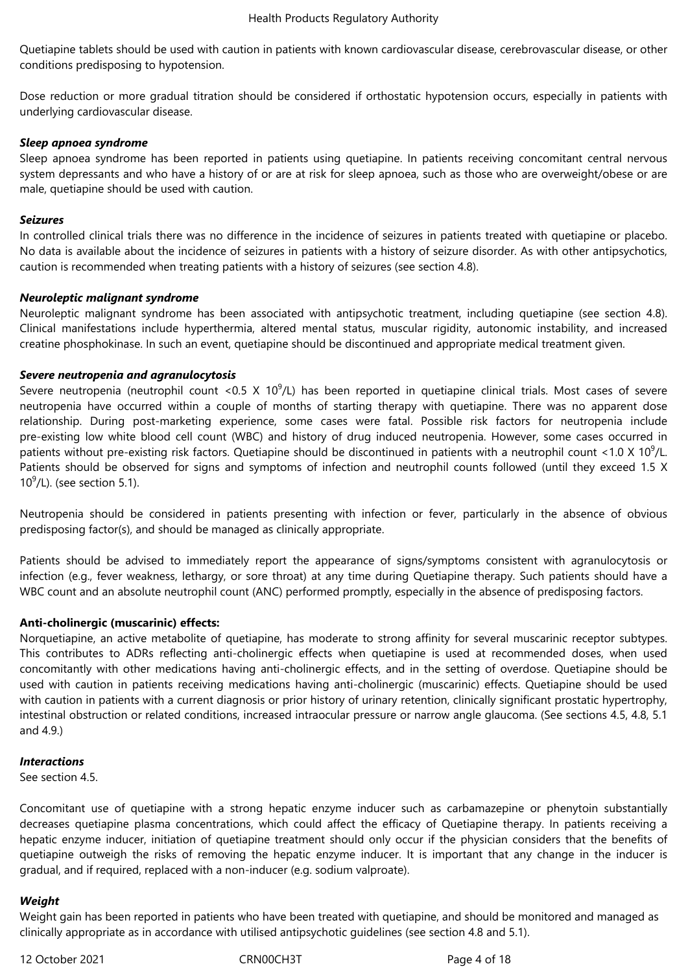Quetiapine tablets should be used with caution in patients with known cardiovascular disease, cerebrovascular disease, or other conditions predisposing to hypotension.

Dose reduction or more gradual titration should be considered if orthostatic hypotension occurs, especially in patients with underlying cardiovascular disease.

#### *Sleep apnoea syndrome*

Sleep apnoea syndrome has been reported in patients using quetiapine. In patients receiving concomitant central nervous system depressants and who have a history of or are at risk for sleep apnoea, such as those who are overweight/obese or are male, quetiapine should be used with caution.

#### *Seizures*

In controlled clinical trials there was no difference in the incidence of seizures in patients treated with quetiapine or placebo. No data is available about the incidence of seizures in patients with a history of seizure disorder. As with other antipsychotics, caution is recommended when treating patients with a history of seizures (see section 4.8).

#### *Neuroleptic malignant syndrome*

Neuroleptic malignant syndrome has been associated with antipsychotic treatment, including quetiapine (see section 4.8). Clinical manifestations include hyperthermia, altered mental status, muscular rigidity, autonomic instability, and increased creatine phosphokinase. In such an event, quetiapine should be discontinued and appropriate medical treatment given.

#### *Severe neutropenia and agranulocytosis*

Severe neutropenia (neutrophil count <0.5 X 10<sup>9</sup>/L) has been reported in quetiapine clinical trials. Most cases of severe neutropenia have occurred within a couple of months of starting therapy with quetiapine. There was no apparent dose relationship. During post-marketing experience, some cases were fatal. Possible risk factors for neutropenia include pre-existing low white blood cell count (WBC) and history of drug induced neutropenia. However, some cases occurred in patients without pre-existing risk factors. Quetiapine should be discontinued in patients with a neutrophil count <1.0 X 10<sup>9</sup>/L. Patients should be observed for signs and symptoms of infection and neutrophil counts followed (until they exceed 1.5 X  $10^9$ /L). (see section 5.1).

Neutropenia should be considered in patients presenting with infection or fever, particularly in the absence of obvious predisposing factor(s), and should be managed as clinically appropriate.

Patients should be advised to immediately report the appearance of signs/symptoms consistent with agranulocytosis or infection (e.g., fever weakness, lethargy, or sore throat) at any time during Quetiapine therapy. Such patients should have a WBC count and an absolute neutrophil count (ANC) performed promptly, especially in the absence of predisposing factors.

#### **Anti-cholinergic (muscarinic) effects:**

Norquetiapine, an active metabolite of quetiapine, has moderate to strong affinity for several muscarinic receptor subtypes. This contributes to ADRs reflecting anti-cholinergic effects when quetiapine is used at recommended doses, when used concomitantly with other medications having anti-cholinergic effects, and in the setting of overdose. Quetiapine should be used with caution in patients receiving medications having anti-cholinergic (muscarinic) effects. Quetiapine should be used with caution in patients with a current diagnosis or prior history of urinary retention, clinically significant prostatic hypertrophy, intestinal obstruction or related conditions, increased intraocular pressure or narrow angle glaucoma. (See sections 4.5, 4.8, 5.1 and 4.9.)

#### *Interactions*

See section 4.5.

Concomitant use of quetiapine with a strong hepatic enzyme inducer such as carbamazepine or phenytoin substantially decreases quetiapine plasma concentrations, which could affect the efficacy of Quetiapine therapy. In patients receiving a hepatic enzyme inducer, initiation of quetiapine treatment should only occur if the physician considers that the benefits of quetiapine outweigh the risks of removing the hepatic enzyme inducer. It is important that any change in the inducer is gradual, and if required, replaced with a non-inducer (e.g. sodium valproate).

#### *Weight*

Weight gain has been reported in patients who have been treated with quetiapine, and should be monitored and managed as clinically appropriate as in accordance with utilised antipsychotic guidelines (see section 4.8 and 5.1).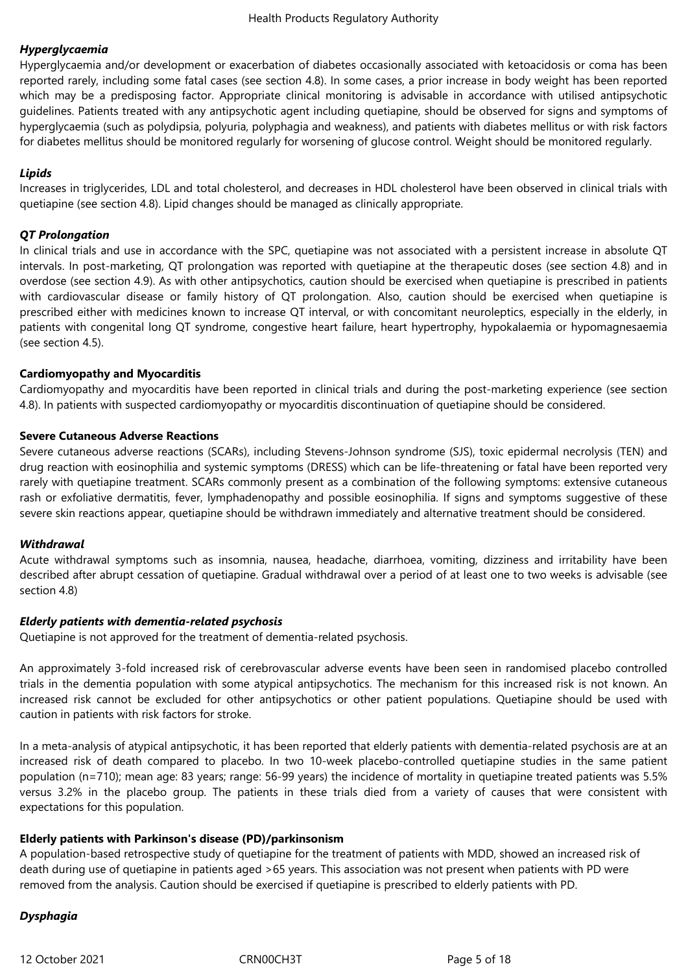# *Hyperglycaemia*

Hyperglycaemia and/or development or exacerbation of diabetes occasionally associated with ketoacidosis or coma has been reported rarely, including some fatal cases (see section 4.8). In some cases, a prior increase in body weight has been reported which may be a predisposing factor. Appropriate clinical monitoring is advisable in accordance with utilised antipsychotic guidelines. Patients treated with any antipsychotic agent including quetiapine, should be observed for signs and symptoms of hyperglycaemia (such as polydipsia, polyuria, polyphagia and weakness), and patients with diabetes mellitus or with risk factors for diabetes mellitus should be monitored regularly for worsening of glucose control. Weight should be monitored regularly.

# *Lipids*

Increases in triglycerides, LDL and total cholesterol, and decreases in HDL cholesterol have been observed in clinical trials with quetiapine (see section 4.8). Lipid changes should be managed as clinically appropriate.

# *QT Prolongation*

In clinical trials and use in accordance with the SPC, quetiapine was not associated with a persistent increase in absolute QT intervals. In post-marketing, QT prolongation was reported with quetiapine at the therapeutic doses (see section 4.8) and in overdose (see section 4.9). As with other antipsychotics, caution should be exercised when quetiapine is prescribed in patients with cardiovascular disease or family history of QT prolongation. Also, caution should be exercised when quetiapine is prescribed either with medicines known to increase QT interval, or with concomitant neuroleptics, especially in the elderly, in patients with congenital long QT syndrome, congestive heart failure, heart hypertrophy, hypokalaemia or hypomagnesaemia (see section 4.5).

# **Cardiomyopathy and Myocarditis**

Cardiomyopathy and myocarditis have been reported in clinical trials and during the post-marketing experience (see section 4.8). In patients with suspected cardiomyopathy or myocarditis discontinuation of quetiapine should be considered.

# **Severe Cutaneous Adverse Reactions**

Severe cutaneous adverse reactions (SCARs), including Stevens-Johnson syndrome (SJS), toxic epidermal necrolysis (TEN) and drug reaction with eosinophilia and systemic symptoms (DRESS) which can be life-threatening or fatal have been reported very rarely with quetiapine treatment. SCARs commonly present as a combination of the following symptoms: extensive cutaneous rash or exfoliative dermatitis, fever, lymphadenopathy and possible eosinophilia. If signs and symptoms suggestive of these severe skin reactions appear, quetiapine should be withdrawn immediately and alternative treatment should be considered.

#### *Withdrawal*

Acute withdrawal symptoms such as insomnia, nausea, headache, diarrhoea, vomiting, dizziness and irritability have been described after abrupt cessation of quetiapine. Gradual withdrawal over a period of at least one to two weeks is advisable (see section 4.8)

#### *Elderly patients with dementia-related psychosis*

Quetiapine is not approved for the treatment of dementia-related psychosis.

An approximately 3-fold increased risk of cerebrovascular adverse events have been seen in randomised placebo controlled trials in the dementia population with some atypical antipsychotics. The mechanism for this increased risk is not known. An increased risk cannot be excluded for other antipsychotics or other patient populations. Quetiapine should be used with caution in patients with risk factors for stroke.

In a meta-analysis of atypical antipsychotic, it has been reported that elderly patients with dementia-related psychosis are at an increased risk of death compared to placebo. In two 10-week placebo-controlled quetiapine studies in the same patient population (n=710); mean age: 83 years; range: 56-99 years) the incidence of mortality in quetiapine treated patients was 5.5% versus 3.2% in the placebo group. The patients in these trials died from a variety of causes that were consistent with expectations for this population.

#### **Elderly patients with Parkinson's disease (PD)/parkinsonism**

A population-based retrospective study of quetiapine for the treatment of patients with MDD, showed an increased risk of death during use of quetiapine in patients aged >65 years. This association was not present when patients with PD were removed from the analysis. Caution should be exercised if quetiapine is prescribed to elderly patients with PD.

# *Dysphagia*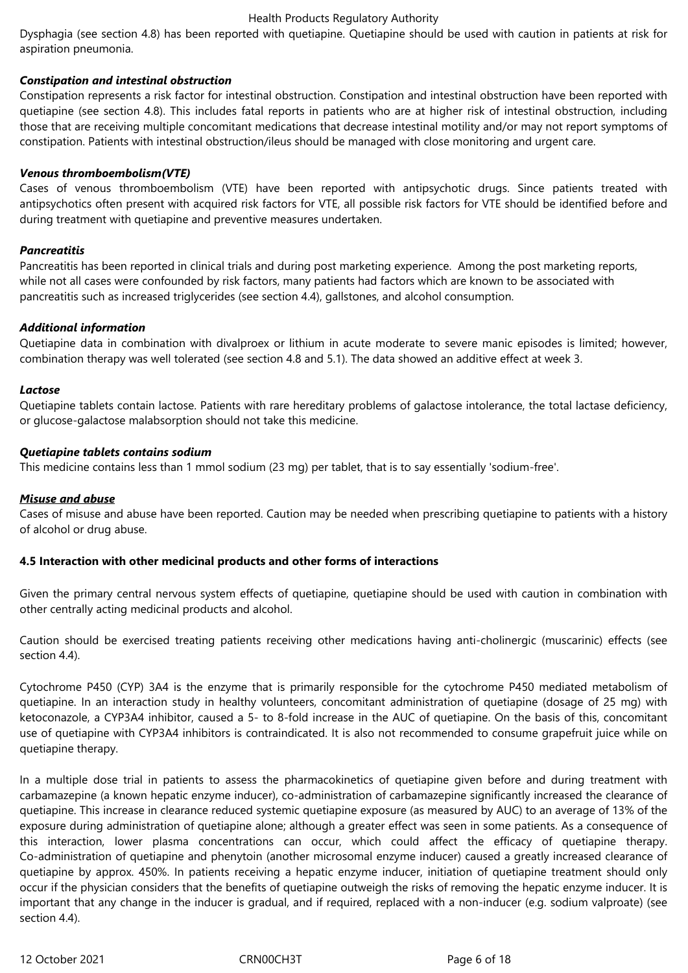Dysphagia (see section 4.8) has been reported with quetiapine. Quetiapine should be used with caution in patients at risk for aspiration pneumonia.

## *Constipation and intestinal obstruction*

Constipation represents a risk factor for intestinal obstruction. Constipation and intestinal obstruction have been reported with quetiapine (see section 4.8). This includes fatal reports in patients who are at higher risk of intestinal obstruction, including those that are receiving multiple concomitant medications that decrease intestinal motility and/or may not report symptoms of constipation. Patients with intestinal obstruction/ileus should be managed with close monitoring and urgent care.

#### *Venous thromboembolism(VTE)*

Cases of venous thromboembolism (VTE) have been reported with antipsychotic drugs. Since patients treated with antipsychotics often present with acquired risk factors for VTE, all possible risk factors for VTE should be identified before and during treatment with quetiapine and preventive measures undertaken.

#### *Pancreatitis*

Pancreatitis has been reported in clinical trials and during post marketing experience. Among the post marketing reports, while not all cases were confounded by risk factors, many patients had factors which are known to be associated with pancreatitis such as increased triglycerides (see section 4.4), gallstones, and alcohol consumption.

#### *Additional information*

Quetiapine data in combination with divalproex or lithium in acute moderate to severe manic episodes is limited; however, combination therapy was well tolerated (see section 4.8 and 5.1). The data showed an additive effect at week 3.

#### *Lactose*

Quetiapine tablets contain lactose. Patients with rare hereditary problems of galactose intolerance, the total lactase deficiency, or glucose-galactose malabsorption should not take this medicine.

#### *Quetiapine tablets contains sodium*

This medicine contains less than 1 mmol sodium (23 mg) per tablet, that is to say essentially 'sodium-free'.

#### *Misuse and abuse*

Cases of misuse and abuse have been reported. Caution may be needed when prescribing quetiapine to patients with a history of alcohol or drug abuse.

#### **4.5 Interaction with other medicinal products and other forms of interactions**

Given the primary central nervous system effects of quetiapine, quetiapine should be used with caution in combination with other centrally acting medicinal products and alcohol.

Caution should be exercised treating patients receiving other medications having anti-cholinergic (muscarinic) effects (see section 4.4).

Cytochrome P450 (CYP) 3A4 is the enzyme that is primarily responsible for the cytochrome P450 mediated metabolism of quetiapine. In an interaction study in healthy volunteers, concomitant administration of quetiapine (dosage of 25 mg) with ketoconazole, a CYP3A4 inhibitor, caused a 5- to 8-fold increase in the AUC of quetiapine. On the basis of this, concomitant use of quetiapine with CYP3A4 inhibitors is contraindicated. It is also not recommended to consume grapefruit juice while on quetiapine therapy.

In a multiple dose trial in patients to assess the pharmacokinetics of quetiapine given before and during treatment with carbamazepine (a known hepatic enzyme inducer), co-administration of carbamazepine significantly increased the clearance of quetiapine. This increase in clearance reduced systemic quetiapine exposure (as measured by AUC) to an average of 13% of the exposure during administration of quetiapine alone; although a greater effect was seen in some patients. As a consequence of this interaction, lower plasma concentrations can occur, which could affect the efficacy of quetiapine therapy. Co-administration of quetiapine and phenytoin (another microsomal enzyme inducer) caused a greatly increased clearance of quetiapine by approx. 450%. In patients receiving a hepatic enzyme inducer, initiation of quetiapine treatment should only occur if the physician considers that the benefits of quetiapine outweigh the risks of removing the hepatic enzyme inducer. It is important that any change in the inducer is gradual, and if required, replaced with a non-inducer (e.g. sodium valproate) (see section 4.4).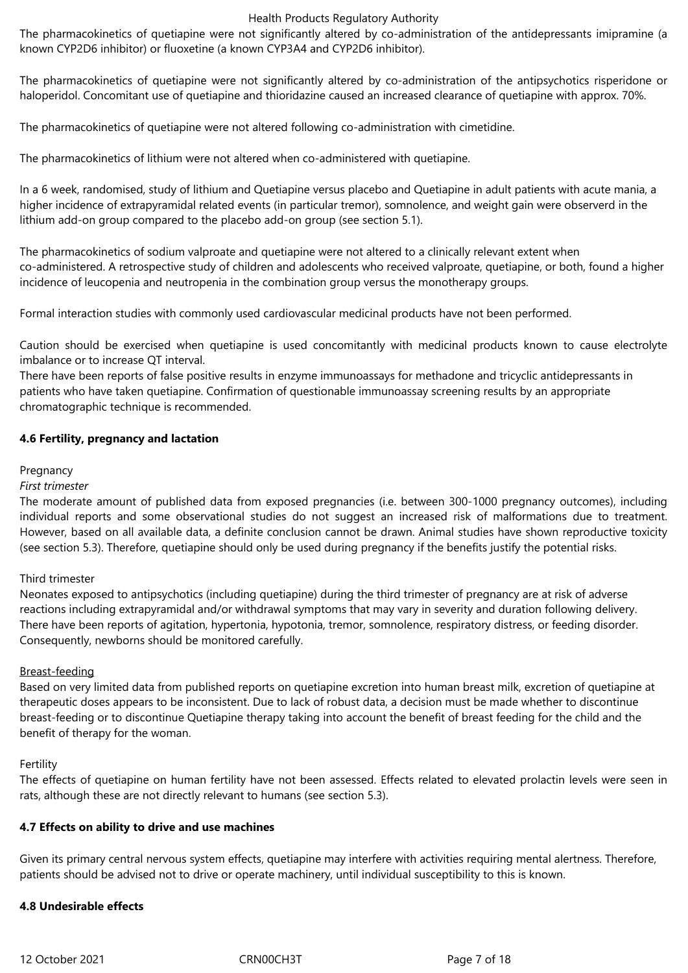The pharmacokinetics of quetiapine were not significantly altered by co-administration of the antidepressants imipramine (a known CYP2D6 inhibitor) or fluoxetine (a known CYP3A4 and CYP2D6 inhibitor).

The pharmacokinetics of quetiapine were not significantly altered by co-administration of the antipsychotics risperidone or haloperidol. Concomitant use of quetiapine and thioridazine caused an increased clearance of quetiapine with approx. 70%.

The pharmacokinetics of quetiapine were not altered following co-administration with cimetidine.

The pharmacokinetics of lithium were not altered when co-administered with quetiapine.

In a 6 week, randomised, study of lithium and Quetiapine versus placebo and Quetiapine in adult patients with acute mania, a higher incidence of extrapyramidal related events (in particular tremor), somnolence, and weight gain were observerd in the lithium add-on group compared to the placebo add-on group (see section 5.1).

The pharmacokinetics of sodium valproate and quetiapine were not altered to a clinically relevant extent when co-administered. A retrospective study of children and adolescents who received valproate, quetiapine, or both, found a higher incidence of leucopenia and neutropenia in the combination group versus the monotherapy groups.

Formal interaction studies with commonly used cardiovascular medicinal products have not been performed.

Caution should be exercised when quetiapine is used concomitantly with medicinal products known to cause electrolyte imbalance or to increase QT interval.

There have been reports of false positive results in enzyme immunoassays for methadone and tricyclic antidepressants in patients who have taken quetiapine. Confirmation of questionable immunoassay screening results by an appropriate chromatographic technique is recommended.

# **4.6 Fertility, pregnancy and lactation**

#### Pregnancy

## *First trimester*

The moderate amount of published data from exposed pregnancies (i.e. between 300-1000 pregnancy outcomes), including individual reports and some observational studies do not suggest an increased risk of malformations due to treatment. However, based on all available data, a definite conclusion cannot be drawn. Animal studies have shown reproductive toxicity (see section 5.3). Therefore, quetiapine should only be used during pregnancy if the benefits justify the potential risks.

#### Third trimester

Neonates exposed to antipsychotics (including quetiapine) during the third trimester of pregnancy are at risk of adverse reactions including extrapyramidal and/or withdrawal symptoms that may vary in severity and duration following delivery. There have been reports of agitation, hypertonia, hypotonia, tremor, somnolence, respiratory distress, or feeding disorder. Consequently, newborns should be monitored carefully.

#### Breast-feeding

Based on very limited data from published reports on quetiapine excretion into human breast milk, excretion of quetiapine at therapeutic doses appears to be inconsistent. Due to lack of robust data, a decision must be made whether to discontinue breast-feeding or to discontinue Quetiapine therapy taking into account the benefit of breast feeding for the child and the benefit of therapy for the woman.

#### Fertility

The effects of quetiapine on human fertility have not been assessed. Effects related to elevated prolactin levels were seen in rats, although these are not directly relevant to humans (see section 5.3).

#### **4.7 Effects on ability to drive and use machines**

Given its primary central nervous system effects, quetiapine may interfere with activities requiring mental alertness. Therefore, patients should be advised not to drive or operate machinery, until individual susceptibility to this is known.

#### **4.8 Undesirable effects**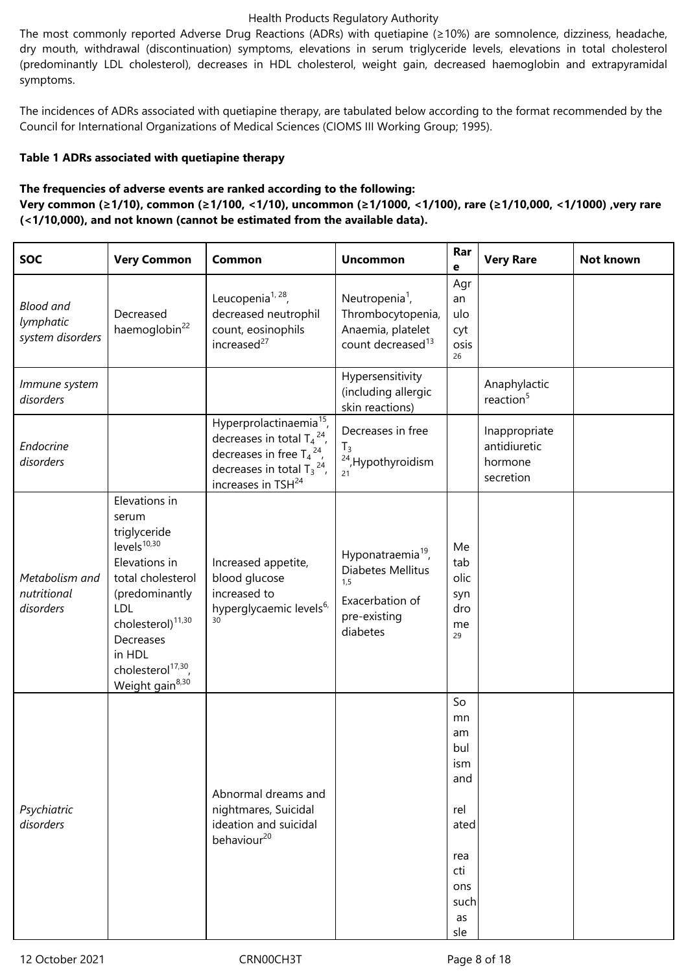The most commonly reported Adverse Drug Reactions (ADRs) with quetiapine (≥10%) are somnolence, dizziness, headache, dry mouth, withdrawal (discontinuation) symptoms, elevations in serum triglyceride levels, elevations in total cholesterol (predominantly LDL cholesterol), decreases in HDL cholesterol, weight gain, decreased haemoglobin and extrapyramidal symptoms.

The incidences of ADRs associated with quetiapine therapy, are tabulated below according to the format recommended by the Council for International Organizations of Medical Sciences (CIOMS III Working Group; 1995).

# **Table 1 ADRs associated with quetiapine therapy**

# **The frequencies of adverse events are ranked according to the following:**

**Very common (≥1/10), common (≥1/100, <1/10), uncommon (≥1/1000, <1/100), rare (≥1/10,000, <1/1000) ,very rare (<1/10,000), and not known (cannot be estimated from the available data).**

| <b>SOC</b>                                        | <b>Very Common</b>                                                                                                                                                                                                                                        | Common                                                                                                                                                                                       | <b>Uncommon</b>                                                                                          | Rar<br>e                                                                                     | <b>Very Rare</b>                                      | Not known |
|---------------------------------------------------|-----------------------------------------------------------------------------------------------------------------------------------------------------------------------------------------------------------------------------------------------------------|----------------------------------------------------------------------------------------------------------------------------------------------------------------------------------------------|----------------------------------------------------------------------------------------------------------|----------------------------------------------------------------------------------------------|-------------------------------------------------------|-----------|
| <b>Blood and</b><br>lymphatic<br>system disorders | Decreased<br>haemoglobin <sup>22</sup>                                                                                                                                                                                                                    | Leucopenia <sup>1, 28</sup> ,<br>decreased neutrophil<br>count, eosinophils<br>increased <sup>27</sup>                                                                                       | Neutropenia <sup>1</sup> ,<br>Thrombocytopenia,<br>Anaemia, platelet<br>count decreased <sup>13</sup>    | Agr<br>an<br>ulo<br>cyt<br>osis<br>26                                                        |                                                       |           |
| Immune system<br>disorders                        |                                                                                                                                                                                                                                                           |                                                                                                                                                                                              | Hypersensitivity<br>(including allergic<br>skin reactions)                                               |                                                                                              | Anaphylactic<br>reaction <sup>5</sup>                 |           |
| Endocrine<br>disorders                            |                                                                                                                                                                                                                                                           | Hyperprolactinaemia <sup>15</sup> ,<br>decreases in total $T_4$ <sup>24</sup> ,<br>decreases in free $T_4^2$ ,<br>decreases in total $T_3$ <sup>24</sup> ,<br>increases in TSH <sup>24</sup> | Decreases in free<br>$T_3$<br><sup>24</sup> , Hypothyroidism<br>21                                       |                                                                                              | Inappropriate<br>antidiuretic<br>hormone<br>secretion |           |
| Metabolism and<br>nutritional<br>disorders        | Elevations in<br>serum<br>triglyceride<br>$levels^{10,30}$<br>Elevations in<br>total cholesterol<br>(predominantly<br><b>LDL</b><br>cholesterol) <sup>11,30</sup><br>Decreases<br>in HDL<br>cholesterol <sup>17,30</sup> ,<br>Weight gain <sup>8,30</sup> | Increased appetite,<br>blood glucose<br>increased to<br>hyperglycaemic levels6,<br>30                                                                                                        | Hyponatraemia <sup>19</sup> ,<br>Diabetes Mellitus<br>1,5<br>Exacerbation of<br>pre-existing<br>diabetes | Me<br>tab<br>olic<br>syn<br>dro<br>me<br>29                                                  |                                                       |           |
| Psychiatric<br>disorders                          |                                                                                                                                                                                                                                                           | Abnormal dreams and<br>nightmares, Suicidal<br>ideation and suicidal<br>behaviour <sup>20</sup>                                                                                              |                                                                                                          | So<br>mn<br>am<br>bul<br>ism<br>and<br>rel<br>ated<br>rea<br>cti<br>ons<br>such<br>as<br>sle |                                                       |           |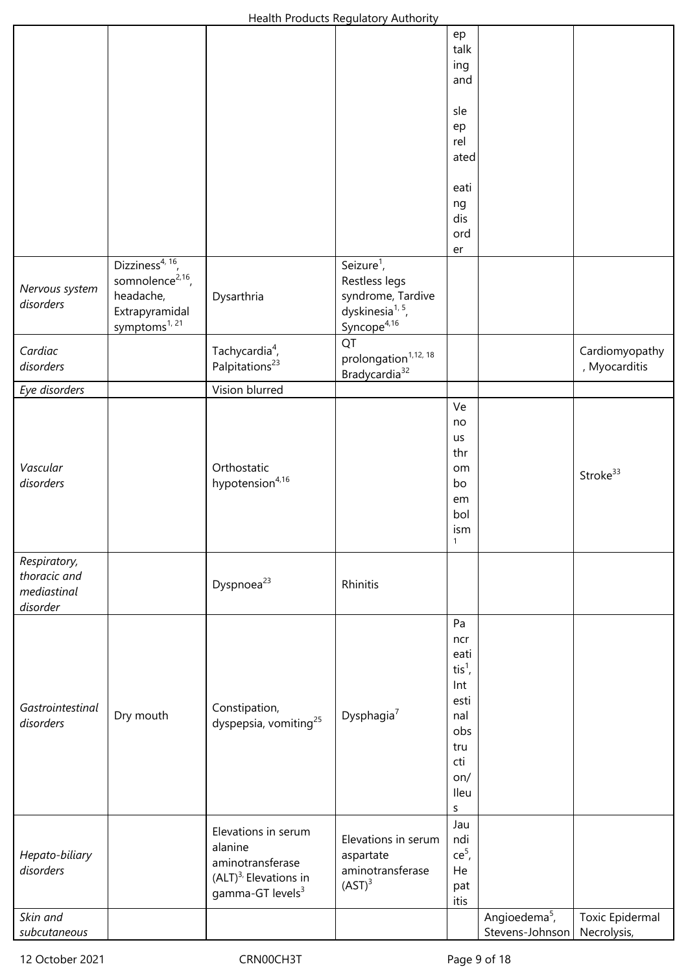|                  |                              |                                   | <b>Health Houghts Regulatory Additionty</b> |                          |                           |                 |
|------------------|------------------------------|-----------------------------------|---------------------------------------------|--------------------------|---------------------------|-----------------|
|                  |                              |                                   |                                             | ep                       |                           |                 |
|                  |                              |                                   |                                             | talk                     |                           |                 |
|                  |                              |                                   |                                             | ing                      |                           |                 |
|                  |                              |                                   |                                             | and                      |                           |                 |
|                  |                              |                                   |                                             |                          |                           |                 |
|                  |                              |                                   |                                             | sle                      |                           |                 |
|                  |                              |                                   |                                             | ep<br>rel                |                           |                 |
|                  |                              |                                   |                                             | ated                     |                           |                 |
|                  |                              |                                   |                                             |                          |                           |                 |
|                  |                              |                                   |                                             | eati                     |                           |                 |
|                  |                              |                                   |                                             | ng                       |                           |                 |
|                  |                              |                                   |                                             | dis                      |                           |                 |
|                  |                              |                                   |                                             | ord                      |                           |                 |
|                  |                              |                                   |                                             | er                       |                           |                 |
|                  | Dizziness <sup>4, 16</sup> , |                                   | Seizure $1$ ,                               |                          |                           |                 |
| Nervous system   | somnolence <sup>2,16</sup> , |                                   | Restless legs                               |                          |                           |                 |
| disorders        | headache,                    | Dysarthria                        | syndrome, Tardive                           |                          |                           |                 |
|                  | Extrapyramidal               |                                   | dyskinesia <sup>1, 5</sup> ,                |                          |                           |                 |
|                  | symptoms <sup>1, 21</sup>    |                                   | Syncope <sup>4,16</sup>                     |                          |                           |                 |
| Cardiac          |                              | Tachycardia <sup>4</sup> ,        | QT                                          |                          |                           | Cardiomyopathy  |
| disorders        |                              | Palpitations <sup>23</sup>        | prolongation <sup>1,12, 18</sup>            |                          |                           | , Myocarditis   |
|                  |                              |                                   | Bradycardia <sup>32</sup>                   |                          |                           |                 |
| Eye disorders    |                              | Vision blurred                    |                                             | Ve                       |                           |                 |
|                  |                              |                                   |                                             |                          |                           |                 |
|                  |                              |                                   |                                             | no<br>us                 |                           |                 |
|                  |                              |                                   |                                             | thr                      |                           |                 |
| Vascular         |                              | Orthostatic                       |                                             | om                       |                           |                 |
| disorders        |                              | hypotension <sup>4,16</sup>       |                                             | bo                       |                           | Stroke $33$     |
|                  |                              |                                   |                                             | em                       |                           |                 |
|                  |                              |                                   |                                             | bol                      |                           |                 |
|                  |                              |                                   |                                             | ism                      |                           |                 |
|                  |                              |                                   |                                             | $\mathbf{1}$             |                           |                 |
| Respiratory,     |                              |                                   |                                             |                          |                           |                 |
| thoracic and     |                              | Dyspnoea <sup>23</sup>            | Rhinitis                                    |                          |                           |                 |
| mediastinal      |                              |                                   |                                             |                          |                           |                 |
| disorder         |                              |                                   |                                             |                          |                           |                 |
|                  |                              |                                   |                                             | Pa                       |                           |                 |
|                  |                              |                                   |                                             | ncr                      |                           |                 |
|                  |                              |                                   |                                             | eati                     |                           |                 |
|                  |                              |                                   |                                             | $\operatorname{tis}^1$ , |                           |                 |
|                  |                              |                                   |                                             | Int                      |                           |                 |
| Gastrointestinal | Dry mouth                    | Constipation,                     | Dysphagia <sup>7</sup>                      | esti<br>nal              |                           |                 |
| disorders        |                              | dyspepsia, vomiting <sup>25</sup> |                                             | obs                      |                           |                 |
|                  |                              |                                   |                                             | tru                      |                           |                 |
|                  |                              |                                   |                                             | cti                      |                           |                 |
|                  |                              |                                   |                                             | on/                      |                           |                 |
|                  |                              |                                   |                                             | Ileu                     |                           |                 |
|                  |                              |                                   |                                             | S                        |                           |                 |
|                  |                              |                                   |                                             | Jau                      |                           |                 |
|                  |                              | Elevations in serum<br>alanine    | Elevations in serum                         | ndi                      |                           |                 |
| Hepato-biliary   |                              | aminotransferase                  | aspartate                                   | $ce5$ ,                  |                           |                 |
| disorders        |                              | $(ALT)^{3}$ , Elevations in       | aminotransferase                            | He                       |                           |                 |
|                  |                              | gamma-GT levels <sup>3</sup>      | (AST) <sup>3</sup>                          | pat                      |                           |                 |
|                  |                              |                                   |                                             | itis                     |                           |                 |
| Skin and         |                              |                                   |                                             |                          | Angioedema <sup>5</sup> , | Toxic Epidermal |
| subcutaneous     |                              |                                   |                                             |                          | Stevens-Johnson           | Necrolysis,     |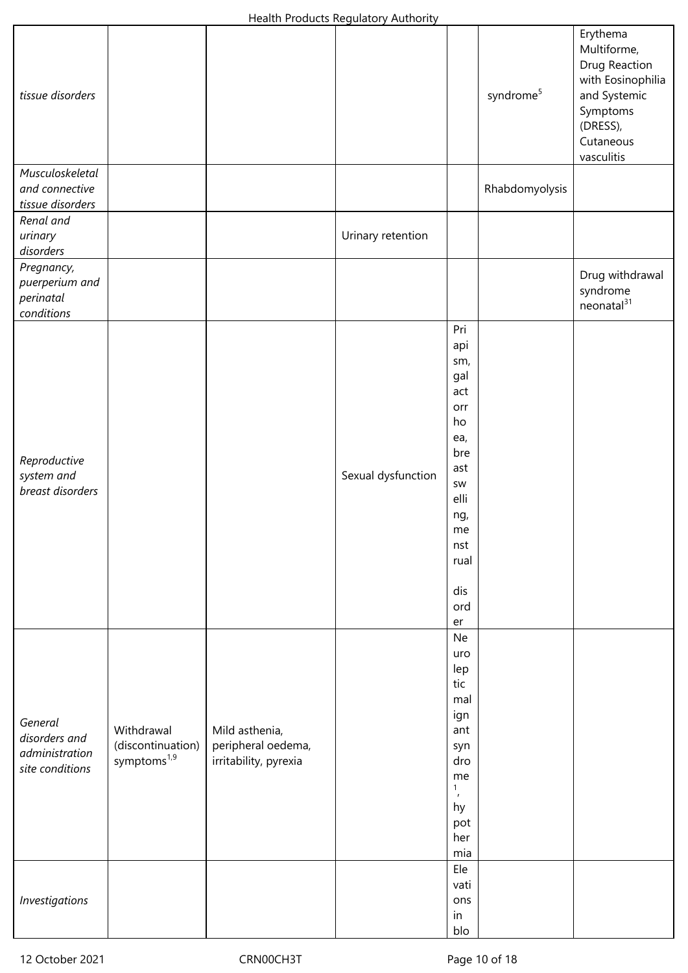| tissue disorders                                              |                                                            |                                                               |                    |                                                                                                                                 | syndrome <sup>5</sup> | Erythema<br>Multiforme,<br>Drug Reaction<br>with Eosinophilia<br>and Systemic<br>Symptoms<br>(DRESS),<br>Cutaneous<br>vasculitis |
|---------------------------------------------------------------|------------------------------------------------------------|---------------------------------------------------------------|--------------------|---------------------------------------------------------------------------------------------------------------------------------|-----------------------|----------------------------------------------------------------------------------------------------------------------------------|
| Musculoskeletal<br>and connective<br>tissue disorders         |                                                            |                                                               |                    |                                                                                                                                 | Rhabdomyolysis        |                                                                                                                                  |
| Renal and<br>urinary<br>disorders                             |                                                            |                                                               | Urinary retention  |                                                                                                                                 |                       |                                                                                                                                  |
| Pregnancy,<br>puerperium and<br>perinatal<br>conditions       |                                                            |                                                               |                    |                                                                                                                                 |                       | Drug withdrawal<br>syndrome<br>neonatal <sup>31</sup>                                                                            |
| Reproductive<br>system and<br>breast disorders                |                                                            |                                                               | Sexual dysfunction | Pri<br>api<br>sm,<br>gal<br>act<br>orr<br>ho<br>ea,<br>bre<br>ast<br>SW<br>elli<br>ng,<br>me<br>nst<br>rual<br>dis<br>ord<br>er |                       |                                                                                                                                  |
| General<br>disorders and<br>administration<br>site conditions | Withdrawal<br>(discontinuation)<br>symptoms <sup>1,9</sup> | Mild asthenia,<br>peripheral oedema,<br>irritability, pyrexia |                    | Ne<br>uro<br>lep<br>tic<br>mal<br>ign<br>ant<br>syn<br>dro<br>me<br>$\mathbf{1}$<br>$\pmb{\prime}$<br>hy<br>pot<br>her<br>mia   |                       |                                                                                                                                  |
| Investigations                                                |                                                            |                                                               |                    | Ele<br>vati<br>ons<br>in<br>blo                                                                                                 |                       |                                                                                                                                  |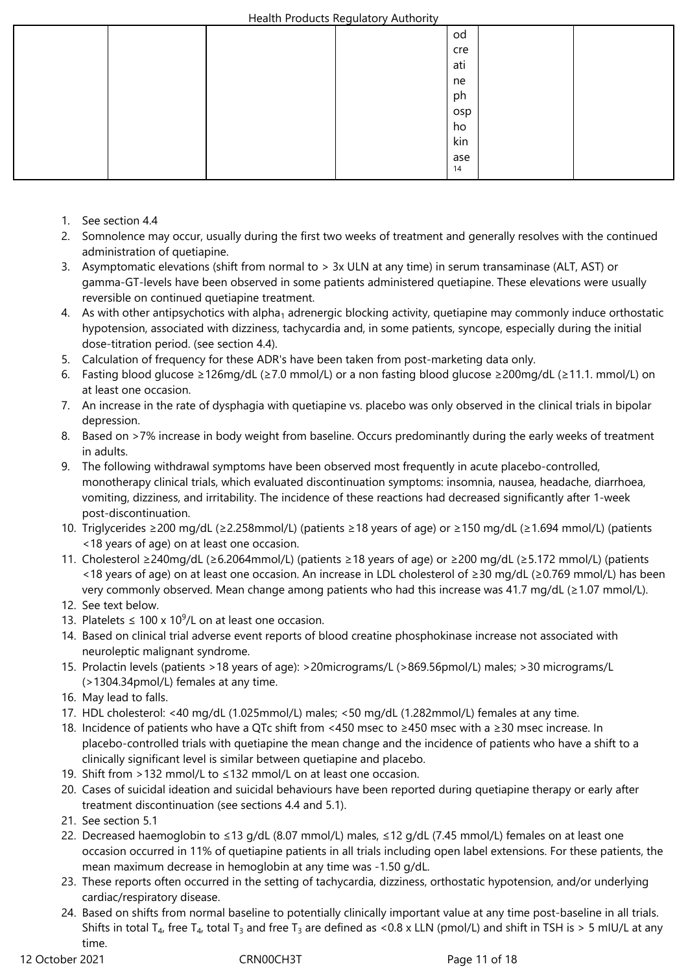|  |  |  |  | od  |  |  |
|--|--|--|--|-----|--|--|
|  |  |  |  | cre |  |  |
|  |  |  |  | ati |  |  |
|  |  |  |  | ne  |  |  |
|  |  |  |  | ph  |  |  |
|  |  |  |  | osp |  |  |
|  |  |  |  | ho  |  |  |
|  |  |  |  | kin |  |  |
|  |  |  |  | ase |  |  |
|  |  |  |  | 14  |  |  |

- 1. See section 4.4
- 2. Somnolence may occur, usually during the first two weeks of treatment and generally resolves with the continued administration of quetiapine.
- 3. Asymptomatic elevations (shift from normal to > 3x ULN at any time) in serum transaminase (ALT, AST) or gamma-GT-levels have been observed in some patients administered quetiapine. These elevations were usually reversible on continued quetiapine treatment.
- 4. As with other antipsychotics with alpha<sub>1</sub> adrenergic blocking activity, quetiapine may commonly induce orthostatic hypotension, associated with dizziness, tachycardia and, in some patients, syncope, especially during the initial dose-titration period. (see section 4.4).
- 5. Calculation of frequency for these ADR's have been taken from post-marketing data only.
- 6. Fasting blood glucose ≥126mg/dL (≥7.0 mmol/L) or a non fasting blood glucose ≥200mg/dL (≥11.1. mmol/L) on at least one occasion.
- 7. An increase in the rate of dysphagia with quetiapine vs. placebo was only observed in the clinical trials in bipolar depression.
- 8. Based on >7% increase in body weight from baseline. Occurs predominantly during the early weeks of treatment in adults.
- 9. The following withdrawal symptoms have been observed most frequently in acute placebo-controlled, monotherapy clinical trials, which evaluated discontinuation symptoms: insomnia, nausea, headache, diarrhoea, vomiting, dizziness, and irritability. The incidence of these reactions had decreased significantly after 1-week post-discontinuation.
- 10. Triglycerides ≥200 mg/dL (≥2.258mmol/L) (patients ≥18 years of age) or ≥150 mg/dL (≥1.694 mmol/L) (patients <18 years of age) on at least one occasion.
- 11. Cholesterol ≥240mg/dL (≥6.2064mmol/L) (patients ≥18 years of age) or ≥200 mg/dL (≥5.172 mmol/L) (patients <18 years of age) on at least one occasion. An increase in LDL cholesterol of ≥30 mg/dL (≥0.769 mmol/L) has been very commonly observed. Mean change among patients who had this increase was 41.7 mg/dL (≥1.07 mmol/L).
- 12. See text below.
- 13. Platelets  $\leq 100 \times 10^9$ /L on at least one occasion.
- 14. Based on clinical trial adverse event reports of blood creatine phosphokinase increase not associated with neuroleptic malignant syndrome.
- 15. Prolactin levels (patients >18 years of age): >20micrograms/L (>869.56pmol/L) males; >30 micrograms/L (>1304.34pmol/L) females at any time.
- 16. May lead to falls.
- 17. HDL cholesterol: <40 mg/dL (1.025mmol/L) males; <50 mg/dL (1.282mmol/L) females at any time.
- 18. Incidence of patients who have a QTc shift from <450 msec to ≥450 msec with a ≥30 msec increase. In placebo-controlled trials with quetiapine the mean change and the incidence of patients who have a shift to a clinically significant level is similar between quetiapine and placebo.
- 19. Shift from >132 mmol/L to ≤132 mmol/L on at least one occasion.
- 20. Cases of suicidal ideation and suicidal behaviours have been reported during quetiapine therapy or early after treatment discontinuation (see sections 4.4 and 5.1).
- 21. See section 5.1
- 22. Decreased haemoglobin to ≤13 g/dL (8.07 mmol/L) males, ≤12 g/dL (7.45 mmol/L) females on at least one occasion occurred in 11% of quetiapine patients in all trials including open label extensions. For these patients, the mean maximum decrease in hemoglobin at any time was -1.50 g/dL.
- 23. These reports often occurred in the setting of tachycardia, dizziness, orthostatic hypotension, and/or underlying cardiac/respiratory disease.
- 24. Based on shifts from normal baseline to potentially clinically important value at any time post-baseline in all trials. Shifts in total T<sub>4</sub>, free T<sub>4</sub>, total T<sub>3</sub> and free T<sub>3</sub> are defined as <0.8 x LLN (pmol/L) and shift in TSH is > 5 mIU/L at any time.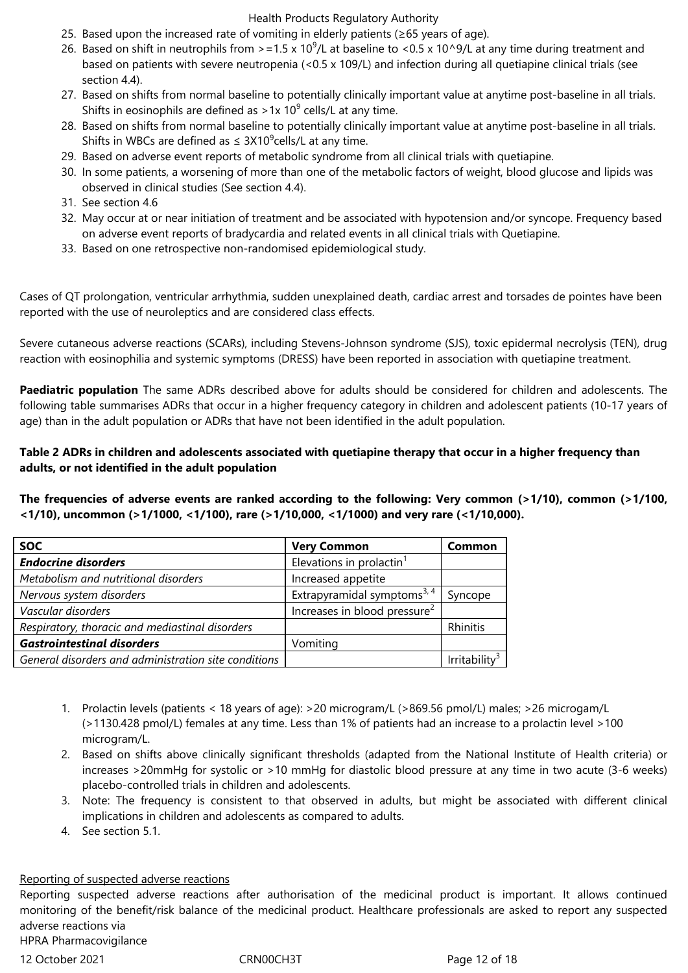- 25. Based upon the increased rate of vomiting in elderly patients (≥65 years of age).
- 26. Based on shift in neutrophils from  $> = 1.5 \times 10^9$ /L at baseline to <0.5 x 10^9/L at any time during treatment and based on patients with severe neutropenia (<0.5 x 109/L) and infection during all quetiapine clinical trials (see section 4.4).
- 27. Based on shifts from normal baseline to potentially clinically important value at anytime post-baseline in all trials. Shifts in eosinophils are defined as >1x 10<sup>9</sup> cells/L at any time.
- 28. Based on shifts from normal baseline to potentially clinically important value at anytime post-baseline in all trials. Shifts in WBCs are defined as  $\leq 3 \times 10^9$ cells/L at any time.
- 29. Based on adverse event reports of metabolic syndrome from all clinical trials with quetiapine.
- 30. In some patients, a worsening of more than one of the metabolic factors of weight, blood glucose and lipids was observed in clinical studies (See section 4.4).
- 31. See section 4.6
- 32. May occur at or near initiation of treatment and be associated with hypotension and/or syncope. Frequency based on adverse event reports of bradycardia and related events in all clinical trials with Quetiapine.
- 33. Based on one retrospective non-randomised epidemiological study.

Cases of QT prolongation, ventricular arrhythmia, sudden unexplained death, cardiac arrest and torsades de pointes have been reported with the use of neuroleptics and are considered class effects.

Severe cutaneous adverse reactions (SCARs), including Stevens-Johnson syndrome (SJS), toxic epidermal necrolysis (TEN), drug reaction with eosinophilia and systemic symptoms (DRESS) have been reported in association with quetiapine treatment.

**Paediatric population** The same ADRs described above for adults should be considered for children and adolescents. The following table summarises ADRs that occur in a higher frequency category in children and adolescent patients (10-17 years of age) than in the adult population or ADRs that have not been identified in the adult population.

# **Table 2 ADRs in children and adolescents associated with quetiapine therapy that occur in a higher frequency than adults, or not identified in the adult population**

**The frequencies of adverse events are ranked according to the following: Very common (>1/10), common (>1/100, <1/10), uncommon (>1/1000, <1/100), rare (>1/10,000, <1/1000) and very rare (<1/10,000).**

| <b>SOC</b>                                           | <b>Very Common</b>                       | Common                    |
|------------------------------------------------------|------------------------------------------|---------------------------|
| <b>Endocrine disorders</b>                           | Elevations in prolactin <sup>1</sup>     |                           |
| Metabolism and nutritional disorders                 | Increased appetite                       |                           |
| Nervous system disorders                             | Extrapyramidal symptoms <sup>3, 4</sup>  | Syncope                   |
| Vascular disorders                                   | Increases in blood pressure <sup>2</sup> |                           |
| Respiratory, thoracic and mediastinal disorders      |                                          | Rhinitis                  |
| <b>Gastrointestinal disorders</b>                    | Vomiting                                 |                           |
| General disorders and administration site conditions |                                          | Irritability <sup>3</sup> |

- 1. Prolactin levels (patients < 18 years of age): >20 microgram/L (>869.56 pmol/L) males; >26 microgam/L (>1130.428 pmol/L) females at any time. Less than 1% of patients had an increase to a prolactin level >100 microgram/L.
- 2. Based on shifts above clinically significant thresholds (adapted from the National Institute of Health criteria) or increases >20mmHg for systolic or >10 mmHg for diastolic blood pressure at any time in two acute (3-6 weeks) placebo-controlled trials in children and adolescents.
- 3. Note: The frequency is consistent to that observed in adults, but might be associated with different clinical implications in children and adolescents as compared to adults.
- 4. See section 5.1.

#### Reporting of suspected adverse reactions

Reporting suspected adverse reactions after authorisation of the medicinal product is important. It allows continued monitoring of the benefit/risk balance of the medicinal product. Healthcare professionals are asked to report any suspected adverse reactions via

HPRA Pharmacovigilance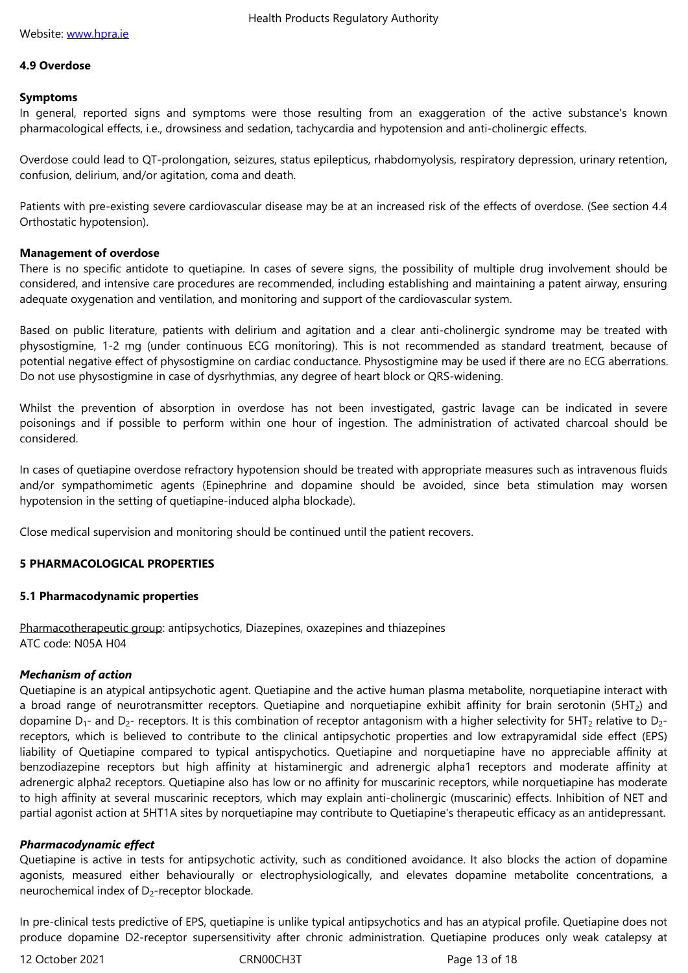#### **4.9 Overdose**

#### **Sympto[ms](http://www.hpra.ie/)**

In general, reported signs and symptoms were those resulting from an exaggeration of the active substance's known pharmacological effects, i.e., drowsiness and sedation, tachycardia and hypotension and anti-cholinergic effects.

Overdose could lead to QT-prolongation, seizures, status epilepticus, rhabdomyolysis, respiratory depression, urinary retention, confusion, delirium, and/or agitation, coma and death.

Patients with pre-existing severe cardiovascular disease may be at an increased risk of the effects of overdose. (See section 4.4 Orthostatic hypotension).

#### **Management of overdose**

There is no specific antidote to quetiapine. In cases of severe signs, the possibility of multiple drug involvement should be considered, and intensive care procedures are recommended, including establishing and maintaining a patent airway, ensuring adequate oxygenation and ventilation, and monitoring and support of the cardiovascular system.

Based on public literature, patients with delirium and agitation and a clear anti-cholinergic syndrome may be treated with physostigmine, 1-2 mg (under continuous ECG monitoring). This is not recommended as standard treatment, because of potential negative effect of physostigmine on cardiac conductance. Physostigmine may be used if there are no ECG aberrations. Do not use physostigmine in case of dysrhythmias, any degree of heart block or QRS-widening.

Whilst the prevention of absorption in overdose has not been investigated, gastric lavage can be indicated in severe poisonings and if possible to perform within one hour of ingestion. The administration of activated charcoal should be considered.

In cases of quetiapine overdose refractory hypotension should be treated with appropriate measures such as intravenous fluids and/or sympathomimetic agents (Epinephrine and dopamine should be avoided, since beta stimulation may worsen hypotension in the setting of quetiapine-induced alpha blockade).

Close medical supervision and monitoring should be continued until the patient recovers.

## **5 PHARMACOLOGICAL PROPERTIES**

#### **5.1 Pharmacodynamic properties**

Pharmacotherapeutic group: antipsychotics, Diazepines, oxazepines and thiazepines ATC code: N05A H04

## *Mechanism of action*

Quetiapine is an atypical antipsychotic agent. Quetiapine and the active human plasma metabolite, norquetiapine interact with a broad range of neurotransmitter receptors. Quetiapine and norquetiapine exhibit affinity for brain serotonin (5HT<sub>2</sub>) and dopamine  $D_1$ - and  $D_2$ - receptors. It is this combination of receptor antagonism with a higher selectivity for 5HT<sub>2</sub> relative to  $D_2$ receptors, which is believed to contribute to the clinical antipsychotic properties and low extrapyramidal side effect (EPS) liability of Quetiapine compared to typical antispychotics. Quetiapine and norquetiapine have no appreciable affinity at benzodiazepine receptors but high affinity at histaminergic and adrenergic alpha1 receptors and moderate affinity at adrenergic alpha2 receptors. Quetiapine also has low or no affinity for muscarinic receptors, while norquetiapine has moderate to high affinity at several muscarinic receptors, which may explain anti-cholinergic (muscarinic) effects. Inhibition of NET and partial agonist action at 5HT1A sites by norquetiapine may contribute to Quetiapine's therapeutic efficacy as an antidepressant.

## *Pharmacodynamic effect*

Quetiapine is active in tests for antipsychotic activity, such as conditioned avoidance. It also blocks the action of dopamine agonists, measured either behaviourally or electrophysiologically, and elevates dopamine metabolite concentrations, a neurochemical index of  $D_2$ -receptor blockade.

In pre-clinical tests predictive of EPS, quetiapine is unlike typical antipsychotics and has an atypical profile. Quetiapine does not produce dopamine D2-receptor supersensitivity after chronic administration. Quetiapine produces only weak catalepsy at

12 October 2021 **CRNOOCH3T** CRNOOCH3T Page 13 of 18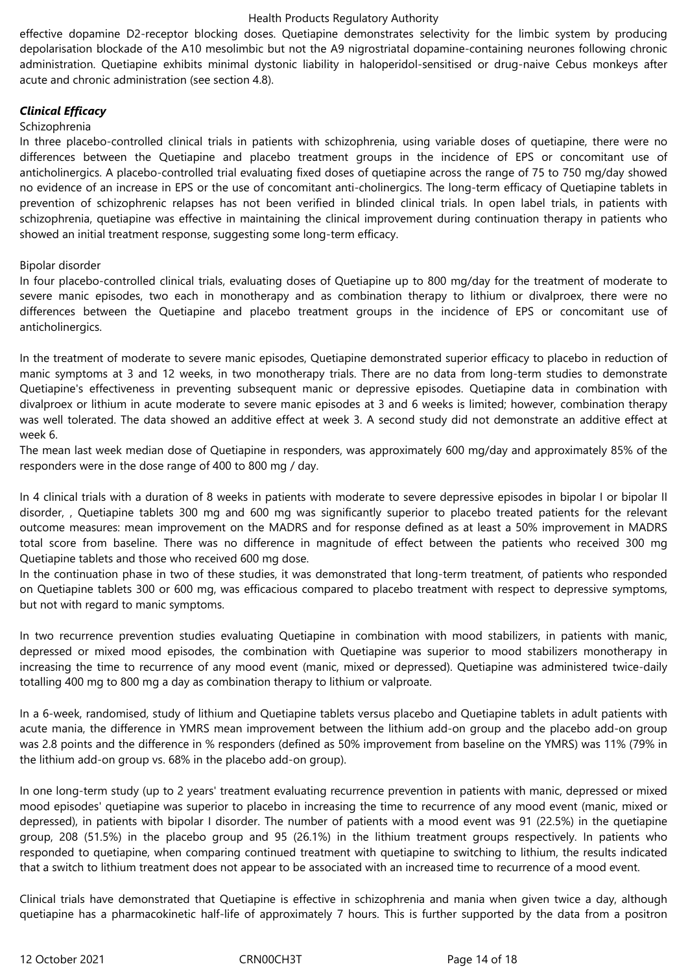effective dopamine D2-receptor blocking doses. Quetiapine demonstrates selectivity for the limbic system by producing depolarisation blockade of the A10 mesolimbic but not the A9 nigrostriatal dopamine-containing neurones following chronic administration. Quetiapine exhibits minimal dystonic liability in haloperidol-sensitised or drug-naive Cebus monkeys after acute and chronic administration (see section 4.8).

# *Clinical Efficacy*

#### Schizophrenia

In three placebo-controlled clinical trials in patients with schizophrenia, using variable doses of quetiapine, there were no differences between the Quetiapine and placebo treatment groups in the incidence of EPS or concomitant use of anticholinergics. A placebo-controlled trial evaluating fixed doses of quetiapine across the range of 75 to 750 mg/day showed no evidence of an increase in EPS or the use of concomitant anti-cholinergics. The long-term efficacy of Quetiapine tablets in prevention of schizophrenic relapses has not been verified in blinded clinical trials. In open label trials, in patients with schizophrenia, quetiapine was effective in maintaining the clinical improvement during continuation therapy in patients who showed an initial treatment response, suggesting some long-term efficacy.

#### Bipolar disorder

In four placebo-controlled clinical trials, evaluating doses of Quetiapine up to 800 mg/day for the treatment of moderate to severe manic episodes, two each in monotherapy and as combination therapy to lithium or divalproex, there were no differences between the Quetiapine and placebo treatment groups in the incidence of EPS or concomitant use of anticholinergics.

In the treatment of moderate to severe manic episodes, Quetiapine demonstrated superior efficacy to placebo in reduction of manic symptoms at 3 and 12 weeks, in two monotherapy trials. There are no data from long-term studies to demonstrate Quetiapine's effectiveness in preventing subsequent manic or depressive episodes. Quetiapine data in combination with divalproex or lithium in acute moderate to severe manic episodes at 3 and 6 weeks is limited; however, combination therapy was well tolerated. The data showed an additive effect at week 3. A second study did not demonstrate an additive effect at week 6.

The mean last week median dose of Quetiapine in responders, was approximately 600 mg/day and approximately 85% of the responders were in the dose range of 400 to 800 mg / day.

In 4 clinical trials with a duration of 8 weeks in patients with moderate to severe depressive episodes in bipolar I or bipolar II disorder, , Quetiapine tablets 300 mg and 600 mg was significantly superior to placebo treated patients for the relevant outcome measures: mean improvement on the MADRS and for response defined as at least a 50% improvement in MADRS total score from baseline. There was no difference in magnitude of effect between the patients who received 300 mg Quetiapine tablets and those who received 600 mg dose.

In the continuation phase in two of these studies, it was demonstrated that long-term treatment, of patients who responded on Quetiapine tablets 300 or 600 mg, was efficacious compared to placebo treatment with respect to depressive symptoms, but not with regard to manic symptoms.

In two recurrence prevention studies evaluating Quetiapine in combination with mood stabilizers, in patients with manic, depressed or mixed mood episodes, the combination with Quetiapine was superior to mood stabilizers monotherapy in increasing the time to recurrence of any mood event (manic, mixed or depressed). Quetiapine was administered twice-daily totalling 400 mg to 800 mg a day as combination therapy to lithium or valproate.

In a 6-week, randomised, study of lithium and Quetiapine tablets versus placebo and Quetiapine tablets in adult patients with acute mania, the difference in YMRS mean improvement between the lithium add-on group and the placebo add-on group was 2.8 points and the difference in % responders (defined as 50% improvement from baseline on the YMRS) was 11% (79% in the lithium add-on group vs. 68% in the placebo add-on group).

In one long-term study (up to 2 years' treatment evaluating recurrence prevention in patients with manic, depressed or mixed mood episodes' quetiapine was superior to placebo in increasing the time to recurrence of any mood event (manic, mixed or depressed), in patients with bipolar I disorder. The number of patients with a mood event was 91 (22.5%) in the quetiapine group, 208 (51.5%) in the placebo group and 95 (26.1%) in the lithium treatment groups respectively. In patients who responded to quetiapine, when comparing continued treatment with quetiapine to switching to lithium, the results indicated that a switch to lithium treatment does not appear to be associated with an increased time to recurrence of a mood event.

Clinical trials have demonstrated that Quetiapine is effective in schizophrenia and mania when given twice a day, although quetiapine has a pharmacokinetic half-life of approximately 7 hours. This is further supported by the data from a positron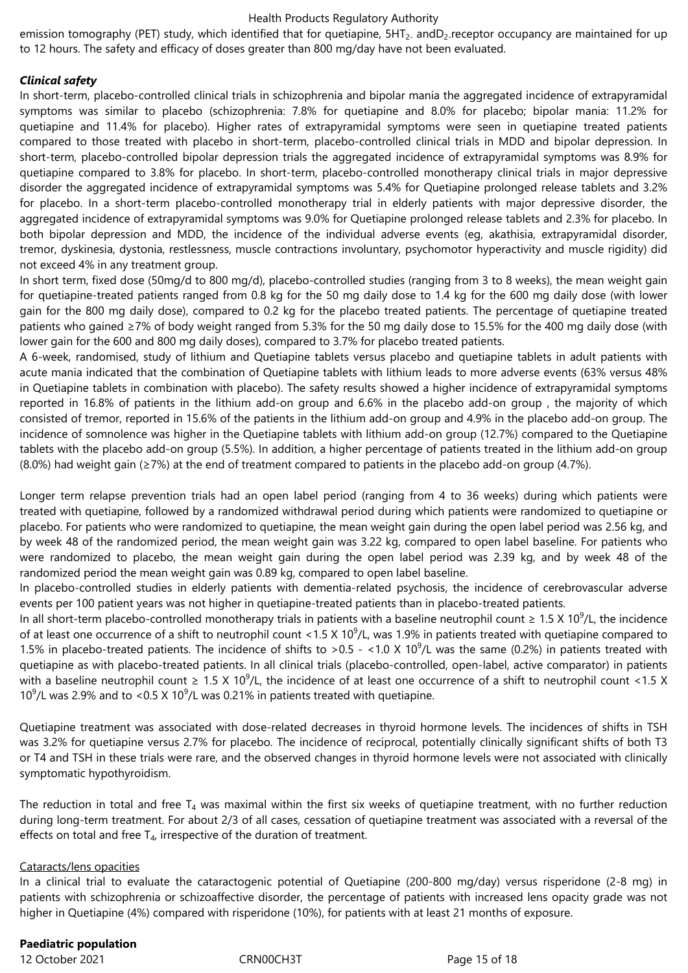emission tomography (PET) study, which identified that for quetiapine, 5HT<sub>2</sub> andD<sub>2</sub> receptor occupancy are maintained for up to 12 hours. The safety and efficacy of doses greater than 800 mg/day have not been evaluated.

# *Clinical safety*

In short-term, placebo-controlled clinical trials in schizophrenia and bipolar mania the aggregated incidence of extrapyramidal symptoms was similar to placebo (schizophrenia: 7.8% for quetiapine and 8.0% for placebo; bipolar mania: 11.2% for quetiapine and 11.4% for placebo). Higher rates of extrapyramidal symptoms were seen in quetiapine treated patients compared to those treated with placebo in short-term, placebo-controlled clinical trials in MDD and bipolar depression. In short-term, placebo-controlled bipolar depression trials the aggregated incidence of extrapyramidal symptoms was 8.9% for quetiapine compared to 3.8% for placebo. In short-term, placebo-controlled monotherapy clinical trials in major depressive disorder the aggregated incidence of extrapyramidal symptoms was 5.4% for Quetiapine prolonged release tablets and 3.2% for placebo. In a short-term placebo-controlled monotherapy trial in elderly patients with major depressive disorder, the aggregated incidence of extrapyramidal symptoms was 9.0% for Quetiapine prolonged release tablets and 2.3% for placebo. In both bipolar depression and MDD, the incidence of the individual adverse events (eg, akathisia, extrapyramidal disorder, tremor, dyskinesia, dystonia, restlessness, muscle contractions involuntary, psychomotor hyperactivity and muscle rigidity) did not exceed 4% in any treatment group.

In short term, fixed dose (50mg/d to 800 mg/d), placebo-controlled studies (ranging from 3 to 8 weeks), the mean weight gain for quetiapine-treated patients ranged from 0.8 kg for the 50 mg daily dose to 1.4 kg for the 600 mg daily dose (with lower gain for the 800 mg daily dose), compared to 0.2 kg for the placebo treated patients. The percentage of quetiapine treated patients who gained ≥7% of body weight ranged from 5.3% for the 50 mg daily dose to 15.5% for the 400 mg daily dose (with lower gain for the 600 and 800 mg daily doses), compared to 3.7% for placebo treated patients.

A 6-week, randomised, study of lithium and Quetiapine tablets versus placebo and quetiapine tablets in adult patients with acute mania indicated that the combination of Quetiapine tablets with lithium leads to more adverse events (63% versus 48% in Quetiapine tablets in combination with placebo). The safety results showed a higher incidence of extrapyramidal symptoms reported in 16.8% of patients in the lithium add-on group and 6.6% in the placebo add-on group , the majority of which consisted of tremor, reported in 15.6% of the patients in the lithium add-on group and 4.9% in the placebo add-on group. The incidence of somnolence was higher in the Quetiapine tablets with lithium add-on group (12.7%) compared to the Quetiapine tablets with the placebo add-on group (5.5%). In addition, a higher percentage of patients treated in the lithium add-on group (8.0%) had weight gain (≥7%) at the end of treatment compared to patients in the placebo add-on group (4.7%).

Longer term relapse prevention trials had an open label period (ranging from 4 to 36 weeks) during which patients were treated with quetiapine, followed by a randomized withdrawal period during which patients were randomized to quetiapine or placebo. For patients who were randomized to quetiapine, the mean weight gain during the open label period was 2.56 kg, and by week 48 of the randomized period, the mean weight gain was 3.22 kg, compared to open label baseline. For patients who were randomized to placebo, the mean weight gain during the open label period was 2.39 kg, and by week 48 of the randomized period the mean weight gain was 0.89 kg, compared to open label baseline.

In placebo-controlled studies in elderly patients with dementia-related psychosis, the incidence of cerebrovascular adverse events per 100 patient years was not higher in quetiapine-treated patients than in placebo-treated patients.

In all short-term placebo-controlled monotherapy trials in patients with a baseline neutrophil count  $\geq 1.5$  X 10<sup>9</sup>/L, the incidence of at least one occurrence of a shift to neutrophil count <1.5 X 10<sup>9</sup>/L, was 1.9% in patients treated with quetiapine compared to 1.5% in placebo-treated patients. The incidence of shifts to >0.5 - <1.0 X 10<sup>9</sup>/L was the same (0.2%) in patients treated with quetiapine as with placebo-treated patients. In all clinical trials (placebo-controlled, open-label, active comparator) in patients with a baseline neutrophil count  $\geq 1.5$  X 10<sup>9</sup>/L, the incidence of at least one occurrence of a shift to neutrophil count <1.5 X 10 $^9$ /L was 2.9% and to <0.5 X 10 $^9$ /L was 0.21% in patients treated with quetiapine.

Quetiapine treatment was associated with dose-related decreases in thyroid hormone levels. The incidences of shifts in TSH was 3.2% for quetiapine versus 2.7% for placebo. The incidence of reciprocal, potentially clinically significant shifts of both T3 or T4 and TSH in these trials were rare, and the observed changes in thyroid hormone levels were not associated with clinically symptomatic hypothyroidism.

The reduction in total and free  $T_4$  was maximal within the first six weeks of quetiapine treatment, with no further reduction during long-term treatment. For about 2/3 of all cases, cessation of quetiapine treatment was associated with a reversal of the effects on total and free  $T<sub>4</sub>$ , irrespective of the duration of treatment.

#### Cataracts/lens opacities

In a clinical trial to evaluate the cataractogenic potential of Quetiapine (200-800 mg/day) versus risperidone (2-8 mg) in patients with schizophrenia or schizoaffective disorder, the percentage of patients with increased lens opacity grade was not higher in Quetiapine (4%) compared with risperidone (10%), for patients with at least 21 months of exposure.

# **Paediatric population**

12 October 2021 CRN00CH3T Page 15 of 18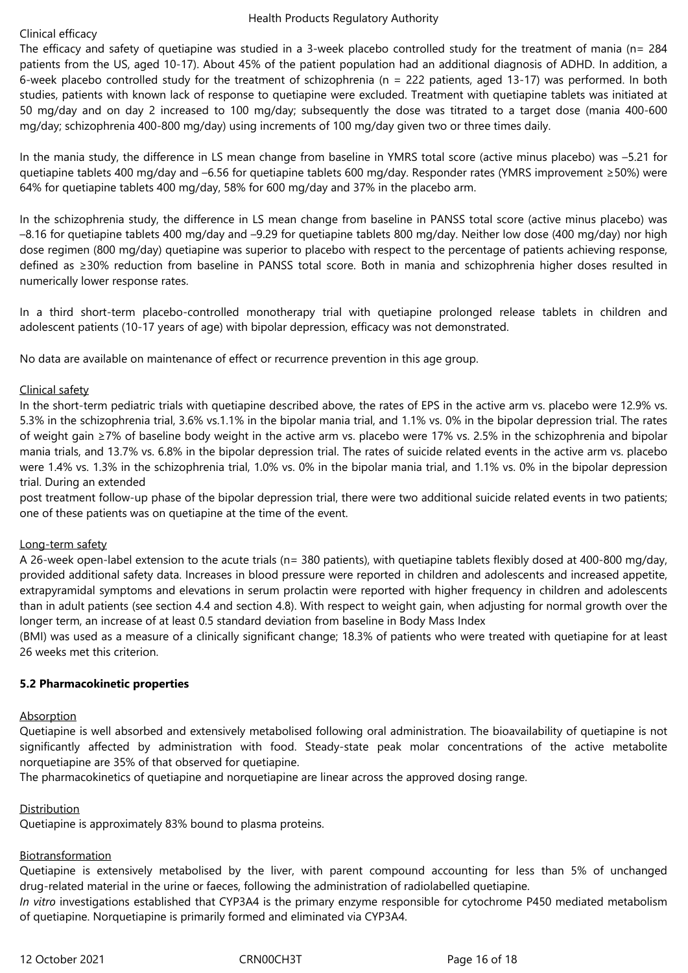## Clinical efficacy

The efficacy and safety of quetiapine was studied in a 3-week placebo controlled study for the treatment of mania (n= 284 patients from the US, aged 10-17). About 45% of the patient population had an additional diagnosis of ADHD. In addition, a 6-week placebo controlled study for the treatment of schizophrenia (n = 222 patients, aged 13-17) was performed. In both studies, patients with known lack of response to quetiapine were excluded. Treatment with quetiapine tablets was initiated at 50 mg/day and on day 2 increased to 100 mg/day; subsequently the dose was titrated to a target dose (mania 400-600 mg/day; schizophrenia 400-800 mg/day) using increments of 100 mg/day given two or three times daily.

In the mania study, the difference in LS mean change from baseline in YMRS total score (active minus placebo) was –5.21 for quetiapine tablets 400 mg/day and –6.56 for quetiapine tablets 600 mg/day. Responder rates (YMRS improvement ≥50%) were 64% for quetiapine tablets 400 mg/day, 58% for 600 mg/day and 37% in the placebo arm.

In the schizophrenia study, the difference in LS mean change from baseline in PANSS total score (active minus placebo) was –8.16 for quetiapine tablets 400 mg/day and –9.29 for quetiapine tablets 800 mg/day. Neither low dose (400 mg/day) nor high dose regimen (800 mg/day) quetiapine was superior to placebo with respect to the percentage of patients achieving response, defined as ≥30% reduction from baseline in PANSS total score. Both in mania and schizophrenia higher doses resulted in numerically lower response rates.

In a third short-term placebo-controlled monotherapy trial with quetiapine prolonged release tablets in children and adolescent patients (10-17 years of age) with bipolar depression, efficacy was not demonstrated.

No data are available on maintenance of effect or recurrence prevention in this age group.

# Clinical safety

In the short-term pediatric trials with quetiapine described above, the rates of EPS in the active arm vs. placebo were 12.9% vs. 5.3% in the schizophrenia trial, 3.6% vs.1.1% in the bipolar mania trial, and 1.1% vs. 0% in the bipolar depression trial. The rates of weight gain ≥7% of baseline body weight in the active arm vs. placebo were 17% vs. 2.5% in the schizophrenia and bipolar mania trials, and 13.7% vs. 6.8% in the bipolar depression trial. The rates of suicide related events in the active arm vs. placebo were 1.4% vs. 1.3% in the schizophrenia trial, 1.0% vs. 0% in the bipolar mania trial, and 1.1% vs. 0% in the bipolar depression trial. During an extended

post treatment follow-up phase of the bipolar depression trial, there were two additional suicide related events in two patients; one of these patients was on quetiapine at the time of the event.

#### Long-term safety

A 26-week open-label extension to the acute trials (n= 380 patients), with quetiapine tablets flexibly dosed at 400-800 mg/day, provided additional safety data. Increases in blood pressure were reported in children and adolescents and increased appetite, extrapyramidal symptoms and elevations in serum prolactin were reported with higher frequency in children and adolescents than in adult patients (see section 4.4 and section 4.8). With respect to weight gain, when adjusting for normal growth over the longer term, an increase of at least 0.5 standard deviation from baseline in Body Mass Index

(BMI) was used as a measure of a clinically significant change; 18.3% of patients who were treated with quetiapine for at least 26 weeks met this criterion.

#### **5.2 Pharmacokinetic properties**

#### Absorption

Quetiapine is well absorbed and extensively metabolised following oral administration. The bioavailability of quetiapine is not significantly affected by administration with food. Steady-state peak molar concentrations of the active metabolite norquetiapine are 35% of that observed for quetiapine.

The pharmacokinetics of quetiapine and norquetiapine are linear across the approved dosing range.

#### Distribution

Quetiapine is approximately 83% bound to plasma proteins.

#### Biotransformation

Quetiapine is extensively metabolised by the liver, with parent compound accounting for less than 5% of unchanged drug-related material in the urine or faeces, following the administration of radiolabelled quetiapine.

*In vitro* investigations established that CYP3A4 is the primary enzyme responsible for cytochrome P450 mediated metabolism of quetiapine. Norquetiapine is primarily formed and eliminated via CYP3A4.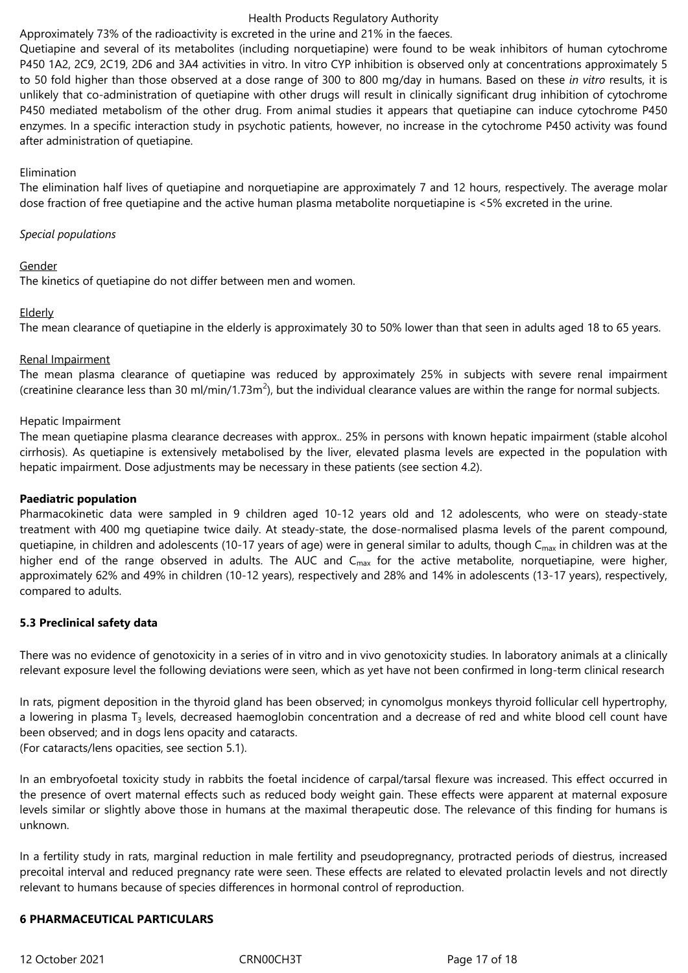## Approximately 73% of the radioactivity is excreted in the urine and 21% in the faeces.

Quetiapine and several of its metabolites (including norquetiapine) were found to be weak inhibitors of human cytochrome P450 1A2, 2C9, 2C19, 2D6 and 3A4 activities in vitro. In vitro CYP inhibition is observed only at concentrations approximately 5 to 50 fold higher than those observed at a dose range of 300 to 800 mg/day in humans. Based on these *in vitro* results, it is unlikely that co-administration of quetiapine with other drugs will result in clinically significant drug inhibition of cytochrome P450 mediated metabolism of the other drug. From animal studies it appears that quetiapine can induce cytochrome P450 enzymes. In a specific interaction study in psychotic patients, however, no increase in the cytochrome P450 activity was found after administration of quetiapine.

# Elimination

The elimination half lives of quetiapine and norquetiapine are approximately 7 and 12 hours, respectively. The average molar dose fraction of free quetiapine and the active human plasma metabolite norquetiapine is <5% excreted in the urine.

# *Special populations*

# Gender

The kinetics of quetiapine do not differ between men and women.

# Elderly

The mean clearance of quetiapine in the elderly is approximately 30 to 50% lower than that seen in adults aged 18 to 65 years.

# Renal Impairment

The mean plasma clearance of quetiapine was reduced by approximately 25% in subjects with severe renal impairment (creatinine clearance less than 30 ml/min/1.73m<sup>2</sup>), but the individual clearance values are within the range for normal subjects.

# Hepatic Impairment

The mean quetiapine plasma clearance decreases with approx.. 25% in persons with known hepatic impairment (stable alcohol cirrhosis). As quetiapine is extensively metabolised by the liver, elevated plasma levels are expected in the population with hepatic impairment. Dose adjustments may be necessary in these patients (see section 4.2).

#### **Paediatric population**

Pharmacokinetic data were sampled in 9 children aged 10-12 years old and 12 adolescents, who were on steady-state treatment with 400 mg quetiapine twice daily. At steady-state, the dose-normalised plasma levels of the parent compound, quetiapine, in children and adolescents (10-17 years of age) were in general similar to adults, though  $C_{\text{max}}$  in children was at the higher end of the range observed in adults. The AUC and  $C_{\text{max}}$  for the active metabolite, norquetiapine, were higher, approximately 62% and 49% in children (10-12 years), respectively and 28% and 14% in adolescents (13-17 years), respectively, compared to adults.

#### **5.3 Preclinical safety data**

There was no evidence of genotoxicity in a series of in vitro and in vivo genotoxicity studies. In laboratory animals at a clinically relevant exposure level the following deviations were seen, which as yet have not been confirmed in long-term clinical research

In rats, pigment deposition in the thyroid gland has been observed; in cynomolgus monkeys thyroid follicular cell hypertrophy, a lowering in plasma T<sub>3</sub> levels, decreased haemoglobin concentration and a decrease of red and white blood cell count have been observed; and in dogs lens opacity and cataracts.

(For cataracts/lens opacities, see section 5.1).

In an embryofoetal toxicity study in rabbits the foetal incidence of carpal/tarsal flexure was increased. This effect occurred in the presence of overt maternal effects such as reduced body weight gain. These effects were apparent at maternal exposure levels similar or slightly above those in humans at the maximal therapeutic dose. The relevance of this finding for humans is unknown.

In a fertility study in rats, marginal reduction in male fertility and pseudopregnancy, protracted periods of diestrus, increased precoital interval and reduced pregnancy rate were seen. These effects are related to elevated prolactin levels and not directly relevant to humans because of species differences in hormonal control of reproduction.

#### **6 PHARMACEUTICAL PARTICULARS**

12 October 2021 CRN00CH3T Page 17 of 18